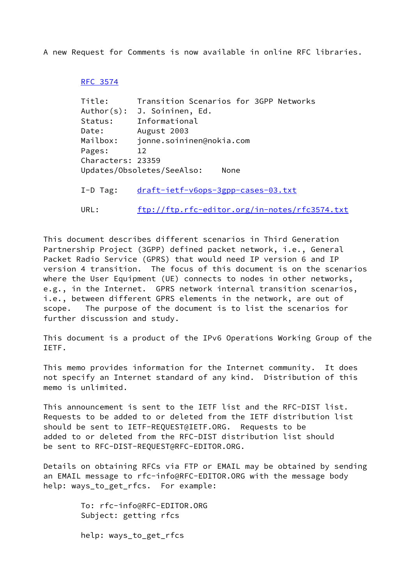A new Request for Comments is now available in online RFC libraries.

## [RFC 3574](https://datatracker.ietf.org/doc/pdf/rfc3574)

| Title:     |                             |                          |                                    |  | Transition Scenarios for 3GPP Networks |  |
|------------|-----------------------------|--------------------------|------------------------------------|--|----------------------------------------|--|
|            | Author(s): J. Soininen, Ed. |                          |                                    |  |                                        |  |
| Status:    |                             | Informational            |                                    |  |                                        |  |
| Date:      |                             | August 2003              |                                    |  |                                        |  |
| Mailbox:   |                             | jonne.soininen@nokia.com |                                    |  |                                        |  |
| Pages:     | 12                          |                          |                                    |  |                                        |  |
|            | Characters: 23359           |                          |                                    |  |                                        |  |
|            | Updates/Obsoletes/SeeAlso:  |                          | None                               |  |                                        |  |
|            |                             |                          |                                    |  |                                        |  |
| $I-D$ Tag: |                             |                          | draft-ietf-v6ops-3gpp-cases-03.txt |  |                                        |  |
|            |                             |                          |                                    |  |                                        |  |

URL: <ftp://ftp.rfc-editor.org/in-notes/rfc3574.txt>

This document describes different scenarios in Third Generation Partnership Project (3GPP) defined packet network, i.e., General Packet Radio Service (GPRS) that would need IP version 6 and IP version 4 transition. The focus of this document is on the scenarios where the User Equipment (UE) connects to nodes in other networks, e.g., in the Internet. GPRS network internal transition scenarios, i.e., between different GPRS elements in the network, are out of scope. The purpose of the document is to list the scenarios for further discussion and study.

This document is a product of the IPv6 Operations Working Group of the IETF.

This memo provides information for the Internet community. It does not specify an Internet standard of any kind. Distribution of this memo is unlimited.

This announcement is sent to the IETF list and the RFC-DIST list. Requests to be added to or deleted from the IETF distribution list should be sent to IETF-REQUEST@IETF.ORG. Requests to be added to or deleted from the RFC-DIST distribution list should be sent to RFC-DIST-REQUEST@RFC-EDITOR.ORG.

Details on obtaining RFCs via FTP or EMAIL may be obtained by sending an EMAIL message to rfc-info@RFC-EDITOR.ORG with the message body help: ways\_to\_get\_rfcs. For example:

> To: rfc-info@RFC-EDITOR.ORG Subject: getting rfcs help: ways\_to\_get\_rfcs